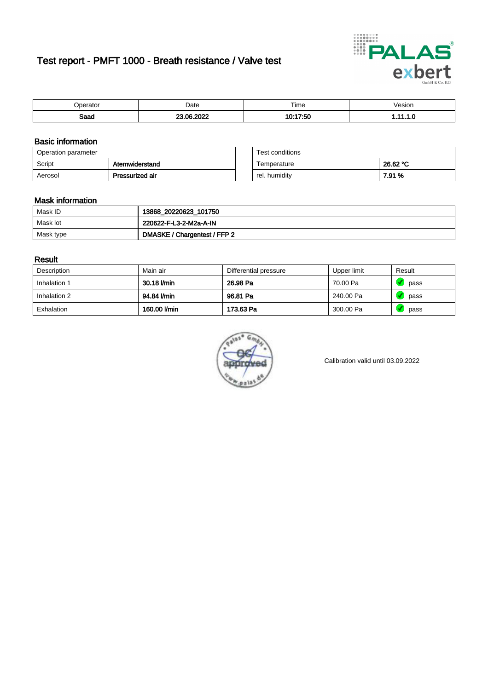# Test report - PMFT 1000 - Breath resistance / Valve test



| berator             | Date             | Time               | /esion |
|---------------------|------------------|--------------------|--------|
| <b>Roon</b><br>oaau | . na nnhr<br>WZ. | 17:50<br>40.4<br>u | .      |

### Basic information

| Operation parameter |                 | Test conditions |          |
|---------------------|-----------------|-----------------|----------|
| Script              | Atemwiderstand  | Temperature     | 26.62 °C |
| Aerosol             | Pressurized air | rel. humidity   | 7.91 %   |

| Test conditions |          |
|-----------------|----------|
| Temperature     | 26.62 °C |
| rel. humidity   | 7.91 %   |

#### Mask information

| Mask ID   | 13868_20220623_101750        |
|-----------|------------------------------|
| Mask lot  | 220622-F-L3-2-M2a-A-IN       |
| Mask type | DMASKE / Chargentest / FFP 2 |

### Result

| Description  | Main air     | Differential pressure | Upper limit | Result |
|--------------|--------------|-----------------------|-------------|--------|
| Inhalation 1 | 30.18 l/min  | 26.98 Pa              | 70.00 Pa    | pass   |
| Inhalation 2 | 94.84 l/min  | 96.81 Pa              | 240.00 Pa   | pass   |
| Exhalation   | 160.00 l/min | 173.63 Pa             | 300.00 Pa   | pass   |



Calibration valid until 03.09.2022